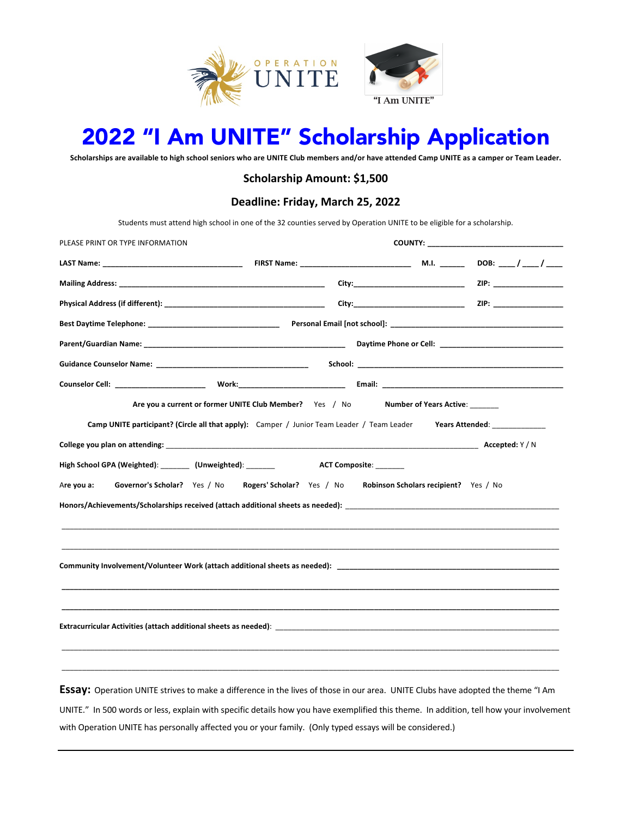

# 2022 "I Am UNITE" Scholarship Application

**Scholarships are available to high school seniors who are UNITE Club members and/or have attended Camp UNITE as a camper or Team Leader.**

### **Scholarship Amount: \$1,500**

### **Deadline: Friday, March 25, 2022**

Students must attend high school in one of the 32 counties served by Operation UNITE to be eligible for a scholarship.

| PLEASE PRINT OR TYPE INFORMATION                                                                                                        |                                                                                                            |  |  |
|-----------------------------------------------------------------------------------------------------------------------------------------|------------------------------------------------------------------------------------------------------------|--|--|
|                                                                                                                                         |                                                                                                            |  |  |
|                                                                                                                                         |                                                                                                            |  |  |
|                                                                                                                                         |                                                                                                            |  |  |
|                                                                                                                                         |                                                                                                            |  |  |
|                                                                                                                                         |                                                                                                            |  |  |
|                                                                                                                                         |                                                                                                            |  |  |
|                                                                                                                                         |                                                                                                            |  |  |
|                                                                                                                                         | Are you a current or former UNITE Club Member? Yes / No Number of Years Active: ______                     |  |  |
|                                                                                                                                         | Camp UNITE participant? (Circle all that apply): Camper / Junior Team Leader / Team Leader Years Attended: |  |  |
|                                                                                                                                         |                                                                                                            |  |  |
| High School GPA (Weighted): ________ (Unweighted): _______ ACT Composite: ______                                                        |                                                                                                            |  |  |
| Are you a:                                                                                                                              | Governor's Scholar? Yes / No Rogers' Scholar? Yes / No Robinson Scholars recipient? Yes / No               |  |  |
|                                                                                                                                         |                                                                                                            |  |  |
|                                                                                                                                         |                                                                                                            |  |  |
|                                                                                                                                         |                                                                                                            |  |  |
|                                                                                                                                         |                                                                                                            |  |  |
|                                                                                                                                         |                                                                                                            |  |  |
|                                                                                                                                         |                                                                                                            |  |  |
|                                                                                                                                         |                                                                                                            |  |  |
|                                                                                                                                         |                                                                                                            |  |  |
|                                                                                                                                         |                                                                                                            |  |  |
| Essay: Operation UNITE strives to make a difference in the lives of those in our area. UNITE Clubs have adopted the theme "I Am         |                                                                                                            |  |  |
| UNITE." In 500 words or less, explain with specific details how you have exemplified this theme. In addition, tell how your involvement |                                                                                                            |  |  |

with Operation UNITE has personally affected you or your family. (Only typed essays will be considered.)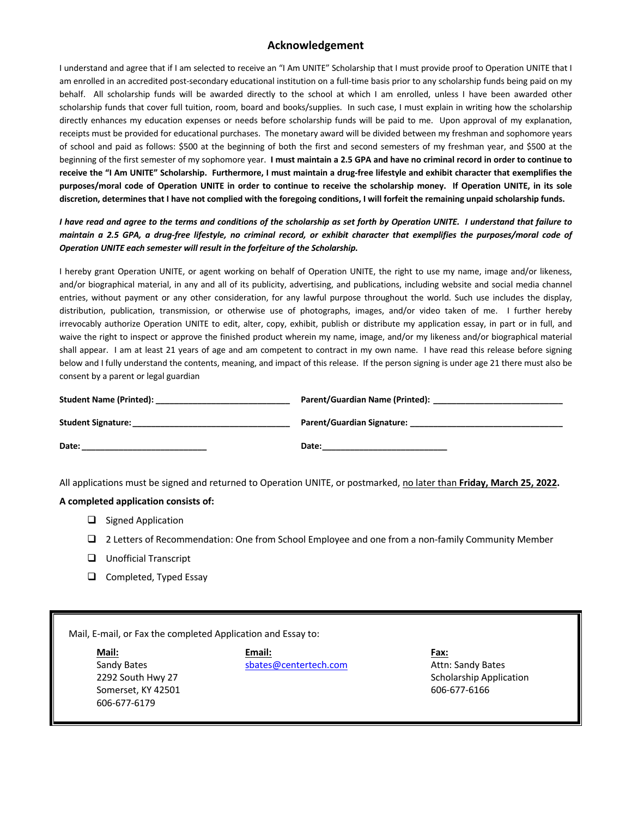### **Acknowledgement**

I understand and agree that if I am selected to receive an "I Am UNITE" Scholarship that I must provide proof to Operation UNITE that I am enrolled in an accredited post-secondary educational institution on a full-time basis prior to any scholarship funds being paid on my behalf. All scholarship funds will be awarded directly to the school at which I am enrolled, unless I have been awarded other scholarship funds that cover full tuition, room, board and books/supplies. In such case, I must explain in writing how the scholarship directly enhances my education expenses or needs before scholarship funds will be paid to me. Upon approval of my explanation, receipts must be provided for educational purchases. The monetary award will be divided between my freshman and sophomore years of school and paid as follows: \$500 at the beginning of both the first and second semesters of my freshman year, and \$500 at the beginning of the first semester of my sophomore year. **I must maintain a 2.5 GPA and have no criminal record in order to continue to receive the "I Am UNITE" Scholarship. Furthermore, I must maintain a drug-free lifestyle and exhibit character that exemplifies the purposes/moral code of Operation UNITE in order to continue to receive the scholarship money. If Operation UNITE, in its sole discretion, determines that I have not complied with the foregoing conditions, I will forfeit the remaining unpaid scholarship funds.**

*I have read and agree to the terms and conditions of the scholarship as set forth by Operation UNITE. I understand that failure to maintain a 2.5 GPA, a drug-free lifestyle, no criminal record, or exhibit character that exemplifies the purposes/moral code of Operation UNITE each semester will result in the forfeiture of the Scholarship.*

I hereby grant Operation UNITE, or agent working on behalf of Operation UNITE, the right to use my name, image and/or likeness, and/or biographical material, in any and all of its publicity, advertising, and publications, including website and social media channel entries, without payment or any other consideration, for any lawful purpose throughout the world. Such use includes the display, distribution, publication, transmission, or otherwise use of photographs, images, and/or video taken of me. I further hereby irrevocably authorize Operation UNITE to edit, alter, copy, exhibit, publish or distribute my application essay, in part or in full, and waive the right to inspect or approve the finished product wherein my name, image, and/or my likeness and/or biographical material shall appear. I am at least 21 years of age and am competent to contract in my own name. I have read this release before signing below and I fully understand the contents, meaning, and impact of this release. If the person signing is under age 21 there must also be consent by a parent or legal guardian

| <b>Student Name (Printed):</b> | Parent/Guardian Name (Printed):   |
|--------------------------------|-----------------------------------|
| <b>Student Signature:</b>      | <b>Parent/Guardian Signature:</b> |
| Date:                          | Date:                             |

All applications must be signed and returned to Operation UNITE, or postmarked, no later than **Friday, March 25, 2022.**

#### **A completed application consists of:**

- $\Box$  Signed Application
- $\Box$  2 Letters of Recommendation: One from School Employee and one from a non-family Community Member
- $\Box$  Unofficial Transcript
- $\Box$  Completed, Typed Essay

Mail, E-mail, or Fax the completed Application and Essay to:

606-677-6179

**Mail: Email: Fax:**  Sandy Bates **Sandy Bates** sbates@centertech.com **Attn: Sandy Bates** 2292 South Hwy 27 Scholarship Application Scholarship Application Somerset, KY 42501 606-677-6166